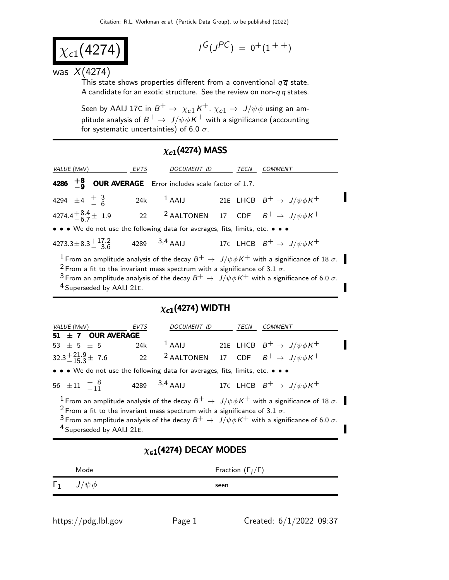$$
\chi_{c1}(4274)
$$

$$
I^G(J^{PC})\ =\ 0^+(1^{++})
$$

#### was  $X(4274)$

This state shows properties different from a conventional  $q\bar{q}$  state. A candidate for an exotic structure. See the review on non- $q\overline{q}$  states.

Seen by AAIJ 17C in  $B^+ \to \; \chi_{c1} \, K^+$ ,  $\chi_{c1} \to \; J/\psi \phi$  using an amplitude analysis of  $B^+ \to \ J/\psi \phi \,$ K $^+$  with a significance (accounting for systematic uncertainties) of 6.0  $\sigma$ .

## $\chi_{c1}(4274)$  MASS

| <i>VALUE</i> (MeV)                                                                                                   | EVTS | DOCUMENT ID |  | TECN | <b>COMMENT</b>                                                    |  |
|----------------------------------------------------------------------------------------------------------------------|------|-------------|--|------|-------------------------------------------------------------------|--|
| 4286 $\frac{+8}{-9}$ OUR AVERAGE Error includes scale factor of 1.7.                                                 |      |             |  |      |                                                                   |  |
| 4294 $\pm 4$ $\frac{+}{-}$ $\frac{3}{6}$                                                                             |      |             |  |      | 24k <sup>1</sup> AAIJ 21E LHCB $B^+ \rightarrow J/\psi \phi K^+$  |  |
| 4274.4 $^{+8.4}_{-6.7}$ ± 1.9                                                                                        |      |             |  |      | 22 <sup>2</sup> AALTONEN 17 CDF $B^+ \rightarrow J/\psi \phi K^+$ |  |
| • • • We do not use the following data for averages, fits, limits, etc. • • •                                        |      |             |  |      |                                                                   |  |
| 4273.3 ± 8.3 $\pm$ 17.2 4289 3.4 AAIJ 17C LHCB $B^+ \rightarrow J/\psi \phi K^+$                                     |      |             |  |      |                                                                   |  |
| <sup>1</sup> From an amplitude analysis of the decay $B^+ \to J/\psi \phi K^+$ with a significance of 18 $\sigma$ .  |      |             |  |      |                                                                   |  |
| <sup>2</sup> From a fit to the invariant mass spectrum with a significance of 3.1 $\sigma$ .                         |      |             |  |      |                                                                   |  |
| <sup>3</sup> From an amplitude analysis of the decay $B^+ \to J/\psi \phi K^+$ with a significance of 6.0 $\sigma$ . |      |             |  |      |                                                                   |  |

4 Superseded by AAIJ 21E.

### $\chi_{c1}($ 4274) WIDTH

| <i>VALUE</i> (MeV)                                                            | <b>EVTS</b> | DOCUMENT ID     |  | TECN | COMMENT                                                                                                             |  |
|-------------------------------------------------------------------------------|-------------|-----------------|--|------|---------------------------------------------------------------------------------------------------------------------|--|
| 51 $\pm$ 7 OUR AVERAGE                                                        |             |                 |  |      |                                                                                                                     |  |
| 53 $\pm$ 5 $\pm$ 5                                                            | 24k         |                 |  |      | <sup>1</sup> AAIJ 21E LHCB $B^+ \rightarrow J/\psi \phi K^+$                                                        |  |
| $32.3^{+21.9}_{-15.3}$ $\pm$ 7.6                                              |             |                 |  |      | 22 <sup>2</sup> AALTONEN 17 CDF $B^+ \rightarrow J/\psi \phi K^+$                                                   |  |
| • • • We do not use the following data for averages, fits, limits, etc. • • • |             |                 |  |      |                                                                                                                     |  |
| 56 $\pm$ 11 $\frac{+8}{-11}$                                                  |             | 4289 $3,4$ AAIJ |  |      | 17C LHCB $B^+ \rightarrow J/\psi \phi K^+$                                                                          |  |
|                                                                               |             |                 |  |      | <sup>1</sup> From an amplitude analysis of the decay $B^+ \to J/\psi \phi K^+$ with a significance of 18 $\sigma$ . |  |

<sup>2</sup> From a fit to the invariant mass spectrum with a significance of 3.1  $\sigma$ .

3 From an amplitude analysis of the decay  $B^+ \to J/\psi \phi K^+$  with a significance of 6.0  $\sigma$ . 4 Superseded by AAIJ 21E.

### $\chi_{c1}(4274)$  DECAY MODES

| Mode                     | Fraction $(\Gamma_i/\Gamma)$ |
|--------------------------|------------------------------|
| $\Gamma_1$ $J/\psi \phi$ | seen                         |
|                          |                              |

https://pdg.lbl.gov Page 1 Created:  $6/1/2022$  09:37